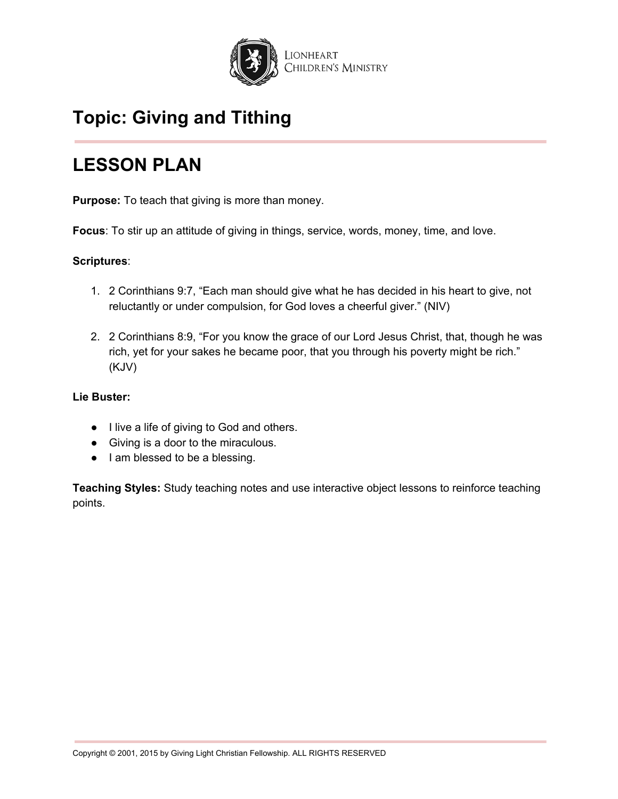

## **LESSON PLAN**

**Purpose:** To teach that giving is more than money.

**Focus**: To stir up an attitude of giving in things, service, words, money, time, and love.

## **Scriptures**:

- 1. 2 Corinthians 9:7, "Each man should give what he has decided in his heart to give, not reluctantly or under compulsion, for God loves a cheerful giver." (NIV)
- 2. 2 Corinthians 8:9, "For you know the grace of our Lord Jesus Christ, that, though he was rich, yet for your sakes he became poor, that you through his poverty might be rich." (KJV)

## **Lie Buster:**

- I live a life of giving to God and others.
- Giving is a door to the miraculous.
- I am blessed to be a blessing.

**Teaching Styles:** Study teaching notes and use interactive object lessons to reinforce teaching points.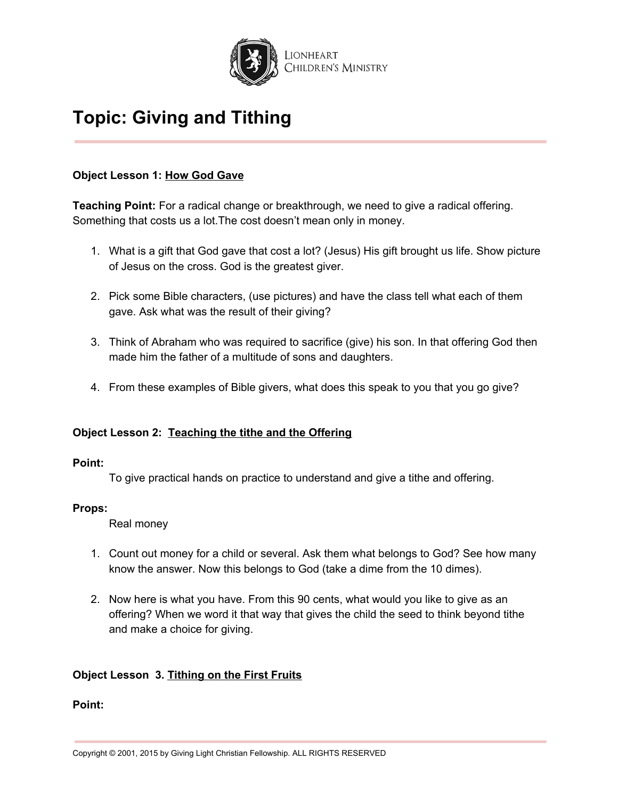

## **Object Lesson 1: How God Gave**

**Teaching Point:** For a radical change or breakthrough, we need to give a radical offering. Something that costs us a lot.The cost doesn't mean only in money.

- 1. What is a gift that God gave that cost a lot? (Jesus) His gift brought us life. Show picture of Jesus on the cross. God is the greatest giver.
- 2. Pick some Bible characters, (use pictures) and have the class tell what each of them gave. Ask what was the result of their giving?
- 3. Think of Abraham who was required to sacrifice (give) his son. In that offering God then made him the father of a multitude of sons and daughters.
- 4. From these examples of Bible givers, what does this speak to you that you go give?

## **Object Lesson 2: Teaching the tithe and the Offering**

#### **Point:**

To give practical hands on practice to understand and give a tithe and offering.

## **Props:**

Real money

- 1. Count out money for a child or several. Ask them what belongs to God? See how many know the answer. Now this belongs to God (take a dime from the 10 dimes).
- 2. Now here is what you have. From this 90 cents, what would you like to give as an offering? When we word it that way that gives the child the seed to think beyond tithe and make a choice for giving.

## **Object Lesson 3. Tithing on the First Fruits**

#### **Point:**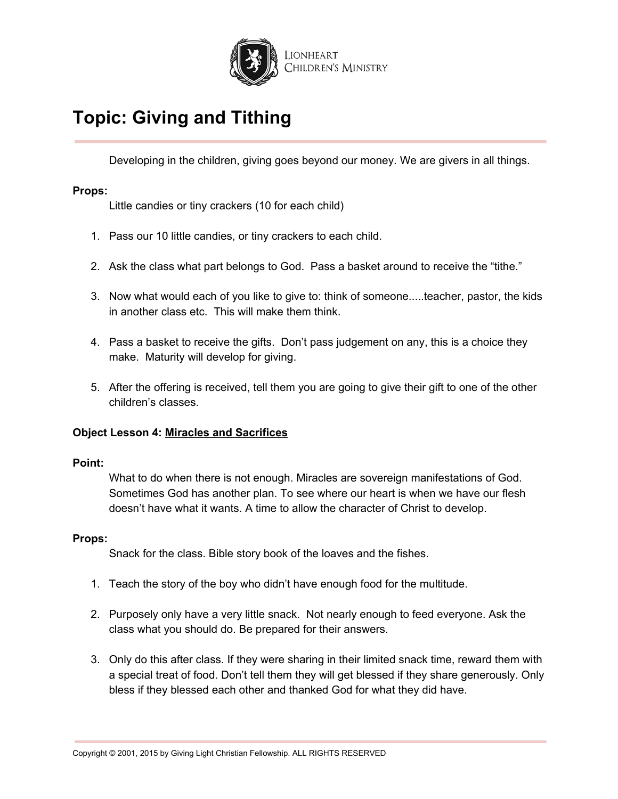

Developing in the children, giving goes beyond our money. We are givers in all things.

### **Props:**

Little candies or tiny crackers (10 for each child)

- 1. Pass our 10 little candies, or tiny crackers to each child.
- 2. Ask the class what part belongs to God. Pass a basket around to receive the "tithe."
- 3. Now what would each of you like to give to: think of someone.....teacher, pastor, the kids in another class etc. This will make them think.
- 4. Pass a basket to receive the gifts. Don't pass judgement on any, this is a choice they make. Maturity will develop for giving.
- 5. After the offering is received, tell them you are going to give their gift to one of the other children's classes.

#### **Object Lesson 4: Miracles and Sacrifices**

#### **Point:**

What to do when there is not enough. Miracles are sovereign manifestations of God. Sometimes God has another plan. To see where our heart is when we have our flesh doesn't have what it wants. A time to allow the character of Christ to develop.

#### **Props:**

Snack for the class. Bible story book of the loaves and the fishes.

- 1. Teach the story of the boy who didn't have enough food for the multitude.
- 2. Purposely only have a very little snack. Not nearly enough to feed everyone. Ask the class what you should do. Be prepared for their answers.
- 3. Only do this after class. If they were sharing in their limited snack time, reward them with a special treat of food. Don't tell them they will get blessed if they share generously. Only bless if they blessed each other and thanked God for what they did have.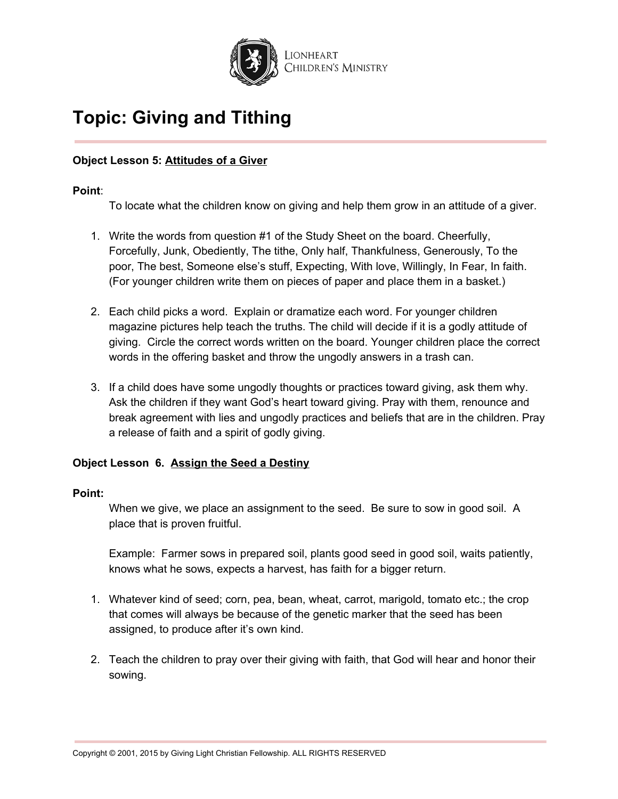

## **Object Lesson 5: Attitudes of a Giver**

### **Point**:

To locate what the children know on giving and help them grow in an attitude of a giver.

- 1. Write the words from question #1 of the Study Sheet on the board. Cheerfully, Forcefully, Junk, Obediently, The tithe, Only half, Thankfulness, Generously, To the poor, The best, Someone else's stuff, Expecting, With love, Willingly, In Fear, In faith. (For younger children write them on pieces of paper and place them in a basket.)
- 2. Each child picks a word. Explain or dramatize each word. For younger children magazine pictures help teach the truths. The child will decide if it is a godly attitude of giving. Circle the correct words written on the board. Younger children place the correct words in the offering basket and throw the ungodly answers in a trash can.
- 3. If a child does have some ungodly thoughts or practices toward giving, ask them why. Ask the children if they want God's heart toward giving. Pray with them, renounce and break agreement with lies and ungodly practices and beliefs that are in the children. Pray a release of faith and a spirit of godly giving.

## **Object Lesson 6. Assign the Seed a Destiny**

#### **Point:**

When we give, we place an assignment to the seed. Be sure to sow in good soil. A place that is proven fruitful.

Example: Farmer sows in prepared soil, plants good seed in good soil, waits patiently, knows what he sows, expects a harvest, has faith for a bigger return.

- 1. Whatever kind of seed; corn, pea, bean, wheat, carrot, marigold, tomato etc.; the crop that comes will always be because of the genetic marker that the seed has been assigned, to produce after it's own kind.
- 2. Teach the children to pray over their giving with faith, that God will hear and honor their sowing.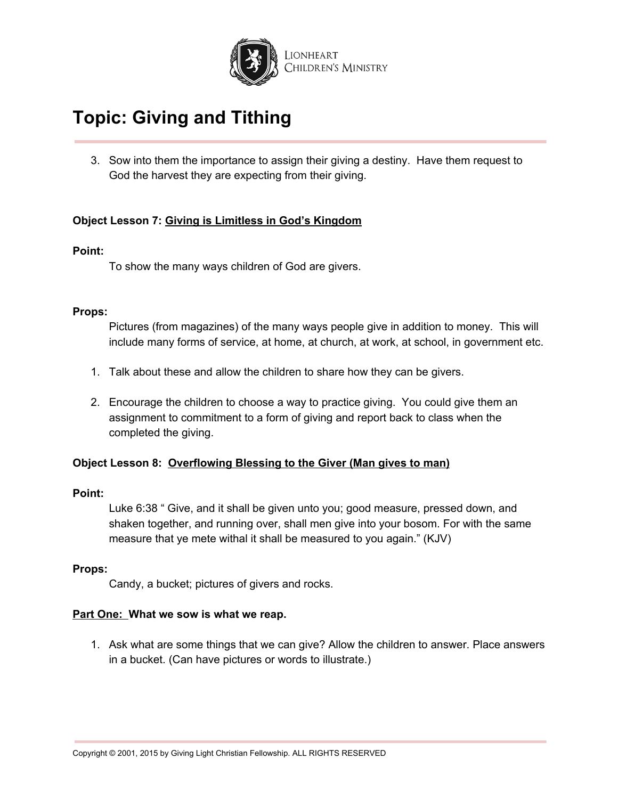

3. Sow into them the importance to assign their giving a destiny. Have them request to God the harvest they are expecting from their giving.

## **Object Lesson 7: Giving is Limitless in God's Kingdom**

### **Point:**

To show the many ways children of God are givers.

#### **Props:**

Pictures (from magazines) of the many ways people give in addition to money. This will include many forms of service, at home, at church, at work, at school, in government etc.

- 1. Talk about these and allow the children to share how they can be givers.
- 2. Encourage the children to choose a way to practice giving. You could give them an assignment to commitment to a form of giving and report back to class when the completed the giving.

#### **Object Lesson 8: Overflowing Blessing to the Giver (Man gives to man)**

#### **Point:**

Luke 6:38 " Give, and it shall be given unto you; good measure, pressed down, and shaken together, and running over, shall men give into your bosom. For with the same measure that ye mete withal it shall be measured to you again." (KJV)

#### **Props:**

Candy, a bucket; pictures of givers and rocks.

#### **Part One: What we sow is what we reap.**

1. Ask what are some things that we can give? Allow the children to answer. Place answers in a bucket. (Can have pictures or words to illustrate.)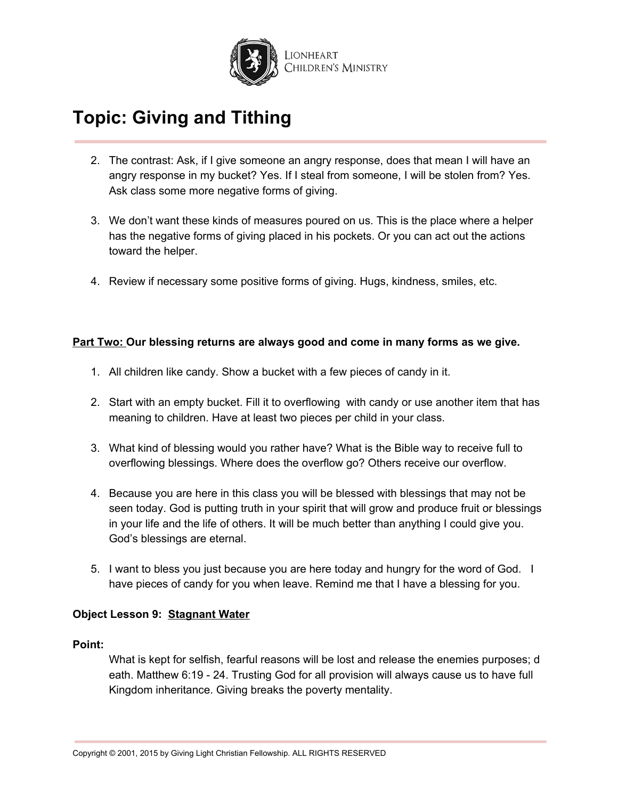

- 2. The contrast: Ask, if I give someone an angry response, does that mean I will have an angry response in my bucket? Yes. If I steal from someone, I will be stolen from? Yes. Ask class some more negative forms of giving.
- 3. We don't want these kinds of measures poured on us. This is the place where a helper has the negative forms of giving placed in his pockets. Or you can act out the actions toward the helper.
- 4. Review if necessary some positive forms of giving. Hugs, kindness, smiles, etc.

### **Part Two: Our blessing returns are always good and come in many forms as we give.**

- 1. All children like candy. Show a bucket with a few pieces of candy in it.
- 2. Start with an empty bucket. Fill it to overflowing with candy or use another item that has meaning to children. Have at least two pieces per child in your class.
- 3. What kind of blessing would you rather have? What is the Bible way to receive full to overflowing blessings. Where does the overflow go? Others receive our overflow.
- 4. Because you are here in this class you will be blessed with blessings that may not be seen today. God is putting truth in your spirit that will grow and produce fruit or blessings in your life and the life of others. It will be much better than anything I could give you. God's blessings are eternal.
- 5. I want to bless you just because you are here today and hungry for the word of God. I have pieces of candy for you when leave. Remind me that I have a blessing for you.

## **Object Lesson 9: Stagnant Water**

#### **Point:**

What is kept for selfish, fearful reasons will be lost and release the enemies purposes; d eath. Matthew 6:19 - 24. Trusting God for all provision will always cause us to have full Kingdom inheritance. Giving breaks the poverty mentality.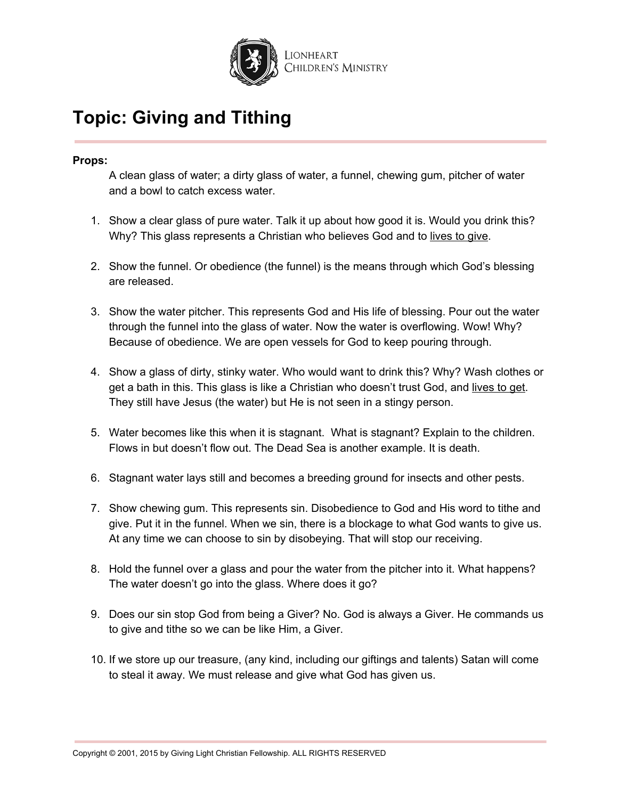

### **Props:**

A clean glass of water; a dirty glass of water, a funnel, chewing gum, pitcher of water and a bowl to catch excess water.

- 1. Show a clear glass of pure water. Talk it up about how good it is. Would you drink this? Why? This glass represents a Christian who believes God and to lives to give.
- 2. Show the funnel. Or obedience (the funnel) is the means through which God's blessing are released.
- 3. Show the water pitcher. This represents God and His life of blessing. Pour out the water through the funnel into the glass of water. Now the water is overflowing. Wow! Why? Because of obedience. We are open vessels for God to keep pouring through.
- 4. Show a glass of dirty, stinky water. Who would want to drink this? Why? Wash clothes or get a bath in this. This glass is like a Christian who doesn't trust God, and lives to get. They still have Jesus (the water) but He is not seen in a stingy person.
- 5. Water becomes like this when it is stagnant. What is stagnant? Explain to the children. Flows in but doesn't flow out. The Dead Sea is another example. It is death.
- 6. Stagnant water lays still and becomes a breeding ground for insects and other pests.
- 7. Show chewing gum. This represents sin. Disobedience to God and His word to tithe and give. Put it in the funnel. When we sin, there is a blockage to what God wants to give us. At any time we can choose to sin by disobeying. That will stop our receiving.
- 8. Hold the funnel over a glass and pour the water from the pitcher into it. What happens? The water doesn't go into the glass. Where does it go?
- 9. Does our sin stop God from being a Giver? No. God is always a Giver. He commands us to give and tithe so we can be like Him, a Giver.
- 10. If we store up our treasure, (any kind, including our giftings and talents) Satan will come to steal it away. We must release and give what God has given us.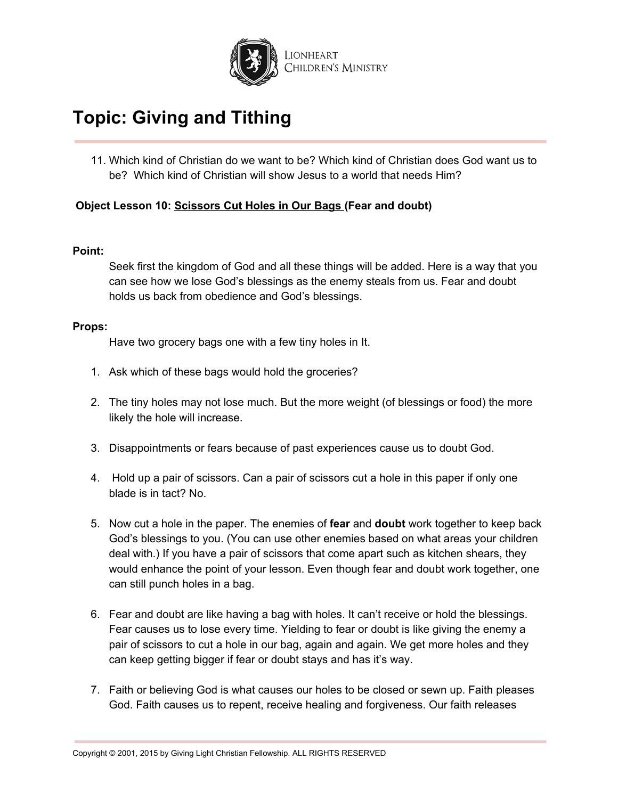

11. Which kind of Christian do we want to be? Which kind of Christian does God want us to be? Which kind of Christian will show Jesus to a world that needs Him?

## **Object Lesson 10: Scissors Cut Holes in Our Bags (Fear and doubt)**

#### **Point:**

Seek first the kingdom of God and all these things will be added. Here is a way that you can see how we lose God's blessings as the enemy steals from us. Fear and doubt holds us back from obedience and God's blessings.

#### **Props:**

Have two grocery bags one with a few tiny holes in It.

- 1. Ask which of these bags would hold the groceries?
- 2. The tiny holes may not lose much. But the more weight (of blessings or food) the more likely the hole will increase.
- 3. Disappointments or fears because of past experiences cause us to doubt God.
- 4. Hold up a pair of scissors. Can a pair of scissors cut a hole in this paper if only one blade is in tact? No.
- 5. Now cut a hole in the paper. The enemies of **fear** and **doubt** work together to keep back God's blessings to you. (You can use other enemies based on what areas your children deal with.) If you have a pair of scissors that come apart such as kitchen shears, they would enhance the point of your lesson. Even though fear and doubt work together, one can still punch holes in a bag.
- 6. Fear and doubt are like having a bag with holes. It can't receive or hold the blessings. Fear causes us to lose every time. Yielding to fear or doubt is like giving the enemy a pair of scissors to cut a hole in our bag, again and again. We get more holes and they can keep getting bigger if fear or doubt stays and has it's way.
- 7. Faith or believing God is what causes our holes to be closed or sewn up. Faith pleases God. Faith causes us to repent, receive healing and forgiveness. Our faith releases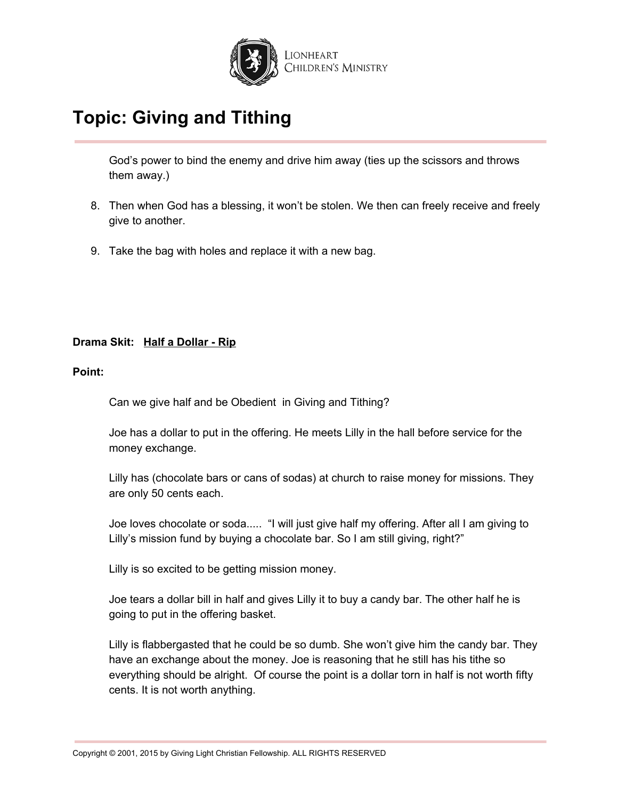

God's power to bind the enemy and drive him away (ties up the scissors and throws them away.)

- 8. Then when God has a blessing, it won't be stolen. We then can freely receive and freely give to another.
- 9. Take the bag with holes and replace it with a new bag.

## **Drama Skit: Half a Dollar - Rip**

### **Point:**

Can we give half and be Obedient in Giving and Tithing?

Joe has a dollar to put in the offering. He meets Lilly in the hall before service for the money exchange.

Lilly has (chocolate bars or cans of sodas) at church to raise money for missions. They are only 50 cents each.

Joe loves chocolate or soda..... "I will just give half my offering. After all I am giving to Lilly's mission fund by buying a chocolate bar. So I am still giving, right?"

Lilly is so excited to be getting mission money.

Joe tears a dollar bill in half and gives Lilly it to buy a candy bar. The other half he is going to put in the offering basket.

Lilly is flabbergasted that he could be so dumb. She won't give him the candy bar. They have an exchange about the money. Joe is reasoning that he still has his tithe so everything should be alright. Of course the point is a dollar torn in half is not worth fifty cents. It is not worth anything.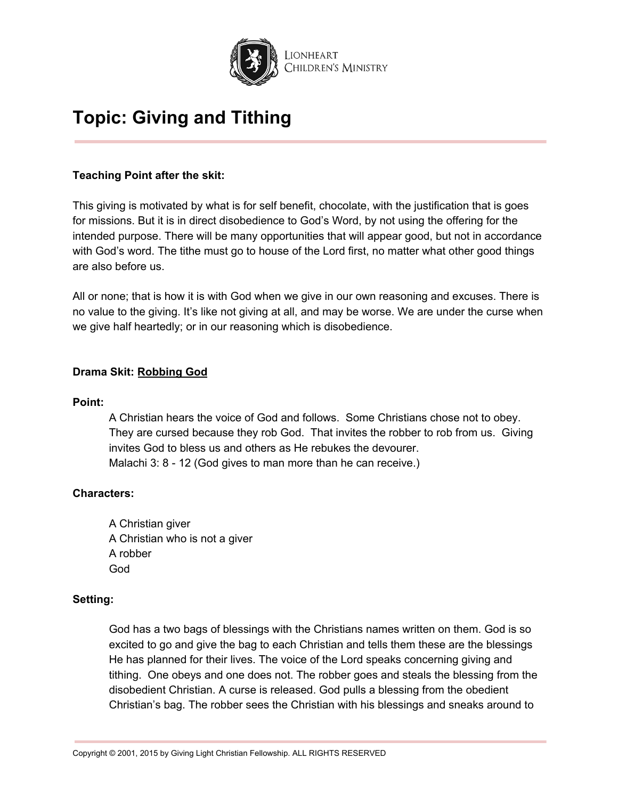

## **Teaching Point after the skit:**

This giving is motivated by what is for self benefit, chocolate, with the justification that is goes for missions. But it is in direct disobedience to God's Word, by not using the offering for the intended purpose. There will be many opportunities that will appear good, but not in accordance with God's word. The tithe must go to house of the Lord first, no matter what other good things are also before us.

All or none; that is how it is with God when we give in our own reasoning and excuses. There is no value to the giving. It's like not giving at all, and may be worse. We are under the curse when we give half heartedly; or in our reasoning which is disobedience.

## **Drama Skit: Robbing God**

### **Point:**

A Christian hears the voice of God and follows. Some Christians chose not to obey. They are cursed because they rob God. That invites the robber to rob from us. Giving invites God to bless us and others as He rebukes the devourer. Malachi 3: 8 - 12 (God gives to man more than he can receive.)

## **Characters:**

A Christian giver A Christian who is not a giver A robber God

#### **Setting:**

God has a two bags of blessings with the Christians names written on them. God is so excited to go and give the bag to each Christian and tells them these are the blessings He has planned for their lives. The voice of the Lord speaks concerning giving and tithing. One obeys and one does not. The robber goes and steals the blessing from the disobedient Christian. A curse is released. God pulls a blessing from the obedient Christian's bag. The robber sees the Christian with his blessings and sneaks around to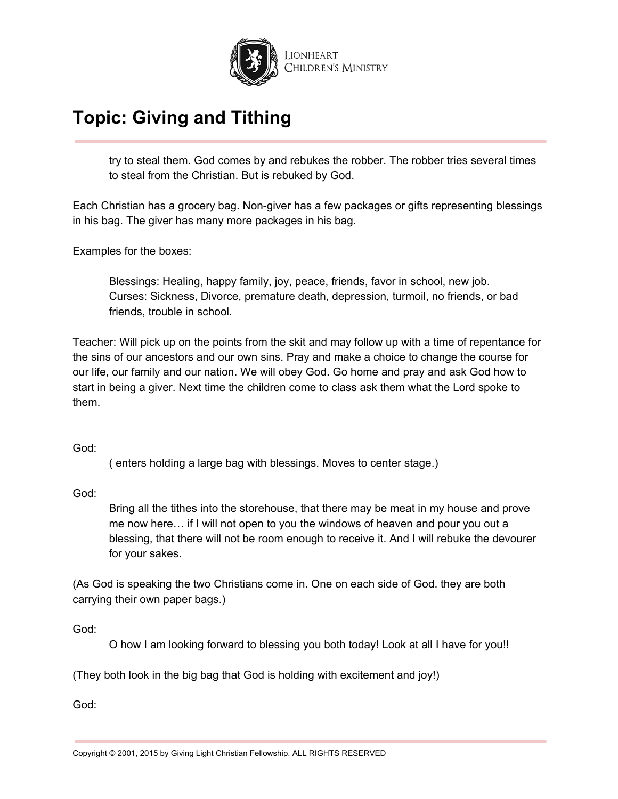

try to steal them. God comes by and rebukes the robber. The robber tries several times to steal from the Christian. But is rebuked by God.

Each Christian has a grocery bag. Non-giver has a few packages or gifts representing blessings in his bag. The giver has many more packages in his bag.

Examples for the boxes:

Blessings: Healing, happy family, joy, peace, friends, favor in school, new job. Curses: Sickness, Divorce, premature death, depression, turmoil, no friends, or bad friends, trouble in school.

Teacher: Will pick up on the points from the skit and may follow up with a time of repentance for the sins of our ancestors and our own sins. Pray and make a choice to change the course for our life, our family and our nation. We will obey God. Go home and pray and ask God how to start in being a giver. Next time the children come to class ask them what the Lord spoke to them.

God:

( enters holding a large bag with blessings. Moves to center stage.)

God:

Bring all the tithes into the storehouse, that there may be meat in my house and prove me now here… if I will not open to you the windows of heaven and pour you out a blessing, that there will not be room enough to receive it. And I will rebuke the devourer for your sakes.

(As God is speaking the two Christians come in. One on each side of God. they are both carrying their own paper bags.)

God:

O how I am looking forward to blessing you both today! Look at all I have for you!!

(They both look in the big bag that God is holding with excitement and joy!)

God: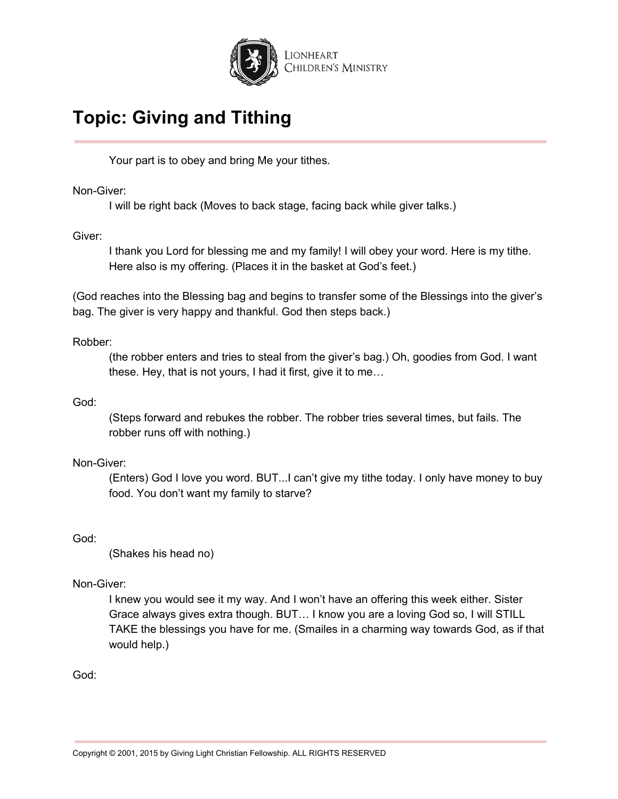

Your part is to obey and bring Me your tithes.

Non-Giver:

I will be right back (Moves to back stage, facing back while giver talks.)

Giver:

I thank you Lord for blessing me and my family! I will obey your word. Here is my tithe. Here also is my offering. (Places it in the basket at God's feet.)

(God reaches into the Blessing bag and begins to transfer some of the Blessings into the giver's bag. The giver is very happy and thankful. God then steps back.)

## Robber:

(the robber enters and tries to steal from the giver's bag.) Oh, goodies from God. I want these. Hey, that is not yours, I had it first, give it to me…

## God:

(Steps forward and rebukes the robber. The robber tries several times, but fails. The robber runs off with nothing.)

## Non-Giver:

(Enters) God I love you word. BUT...I can't give my tithe today. I only have money to buy food. You don't want my family to starve?

God:

(Shakes his head no)

## Non-Giver:

I knew you would see it my way. And I won't have an offering this week either. Sister Grace always gives extra though. BUT… I know you are a loving God so, I will STILL TAKE the blessings you have for me. (Smailes in a charming way towards God, as if that would help.)

God: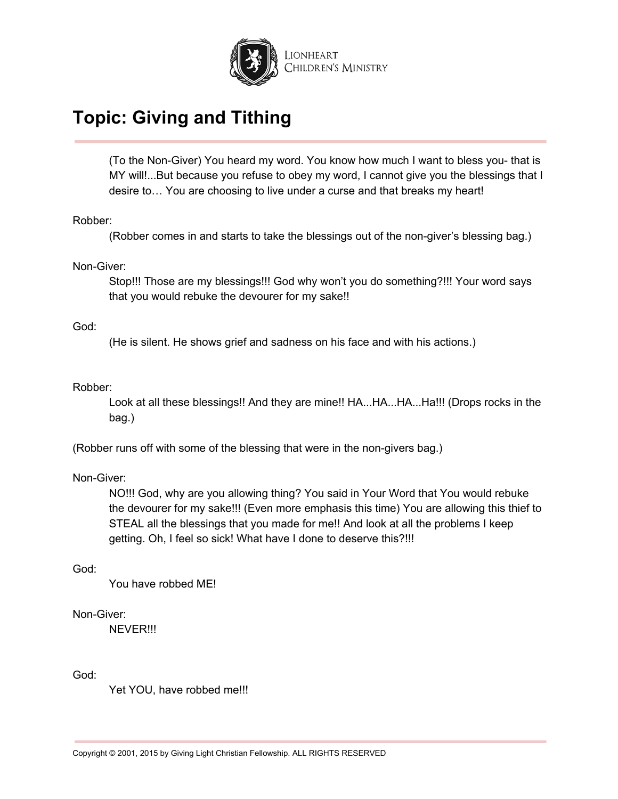

(To the Non-Giver) You heard my word. You know how much I want to bless you- that is MY will!...But because you refuse to obey my word, I cannot give you the blessings that I desire to… You are choosing to live under a curse and that breaks my heart!

Robber:

(Robber comes in and starts to take the blessings out of the non-giver's blessing bag.)

Non-Giver:

Stop!!! Those are my blessings!!! God why won't you do something?!!! Your word says that you would rebuke the devourer for my sake!!

God:

(He is silent. He shows grief and sadness on his face and with his actions.)

Robber:

Look at all these blessings!! And they are mine!! HA...HA...HA...Ha!!! (Drops rocks in the bag.)

(Robber runs off with some of the blessing that were in the non-givers bag.)

Non-Giver:

NO!!! God, why are you allowing thing? You said in Your Word that You would rebuke the devourer for my sake!!! (Even more emphasis this time) You are allowing this thief to STEAL all the blessings that you made for me!! And look at all the problems I keep getting. Oh, I feel so sick! What have I done to deserve this?!!!

God:

You have robbed ME!

#### Non-Giver:

NEVER!!!

God:

Yet YOU, have robbed me!!!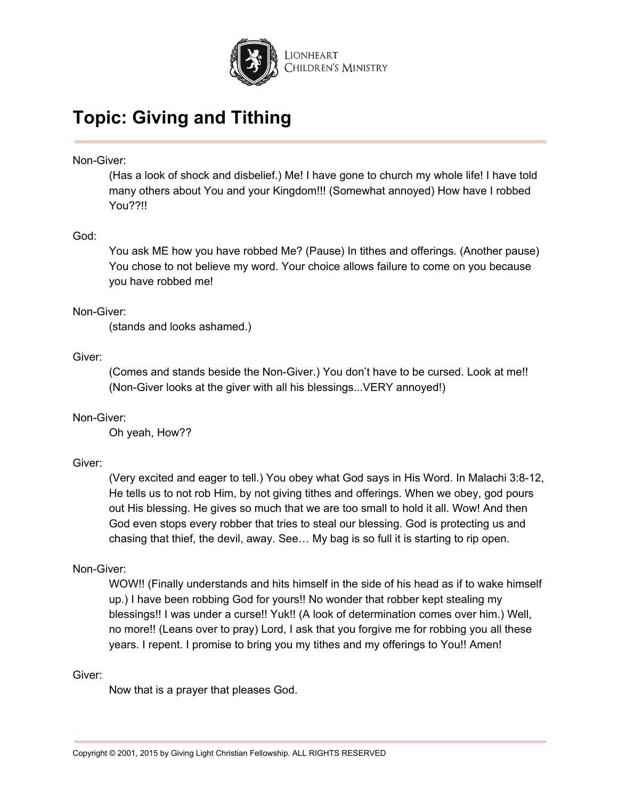

Non-Giver:

(Has a look of shock and disbelief.) Me! I have gone to church my whole life! I have told many others about You and your Kingdom!!! (Somewhat annoyed) How have I robbed You??!!

### God:

You ask ME how you have robbed Me? (Pause) In tithes and offerings. (Another pause) You chose to not believe my word. Your choice allows failure to come on you because you have robbed me!

### Non-Giver:

(stands and looks ashamed.)

### Giver:

(Comes and stands beside the Non-Giver.) You don't have to be cursed. Look at me!! (Non-Giver looks at the giver with all his blessings...VERY annoyed!)

#### Non-Giver:

Oh yeah, How??

## Giver:

(Very excited and eager to tell.) You obey what God says in His Word. In Malachi 3:8-12, He tells us to not rob Him, by not giving tithes and offerings. When we obey, god pours out His blessing. He gives so much that we are too small to hold it all. Wow! And then God even stops every robber that tries to steal our blessing. God is protecting us and chasing that thief, the devil, away. See… My bag is so full it is starting to rip open.

#### Non-Giver:

WOW!! (Finally understands and hits himself in the side of his head as if to wake himself up.) I have been robbing God for yours!! No wonder that robber kept stealing my blessings!! I was under a curse!! Yuk!! (A look of determination comes over him.) Well, no more!! (Leans over to pray) Lord, I ask that you forgive me for robbing you all these years. I repent. I promise to bring you my tithes and my offerings to You!! Amen!

#### Giver:

Now that is a prayer that pleases God.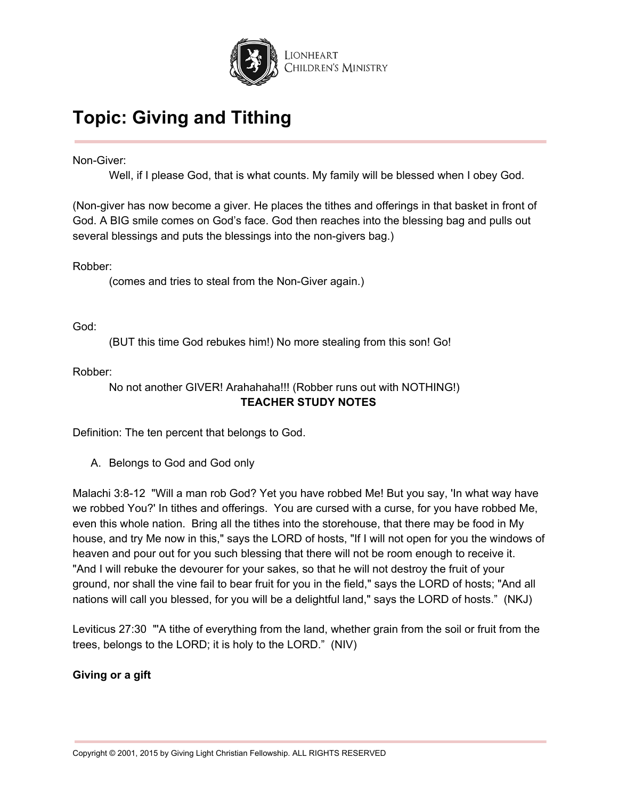

Non-Giver:

Well, if I please God, that is what counts. My family will be blessed when I obey God.

(Non-giver has now become a giver. He places the tithes and offerings in that basket in front of God. A BIG smile comes on God's face. God then reaches into the blessing bag and pulls out several blessings and puts the blessings into the non-givers bag.)

Robber:

(comes and tries to steal from the Non-Giver again.)

God:

(BUT this time God rebukes him!) No more stealing from this son! Go!

Robber:

No not another GIVER! Arahahaha!!! (Robber runs out with NOTHING!) **TEACHER STUDY NOTES**

Definition: The ten percent that belongs to God.

A. Belongs to God and God only

Malachi 3:8-12 "Will a man rob God? Yet you have robbed Me! But you say, 'In what way have we robbed You?' In tithes and offerings. You are cursed with a curse, for you have robbed Me, even this whole nation. Bring all the tithes into the storehouse, that there may be food in My house, and try Me now in this," says the LORD of hosts, "If I will not open for you the windows of heaven and pour out for you such blessing that there will not be room enough to receive it. "And I will rebuke the devourer for your sakes, so that he will not destroy the fruit of your ground, nor shall the vine fail to bear fruit for you in the field," says the LORD of hosts; "And all nations will call you blessed, for you will be a delightful land," says the LORD of hosts." (NKJ)

Leviticus 27:30 "'A tithe of everything from the land, whether grain from the soil or fruit from the trees, belongs to the LORD; it is holy to the LORD." (NIV)

**Giving or a gift**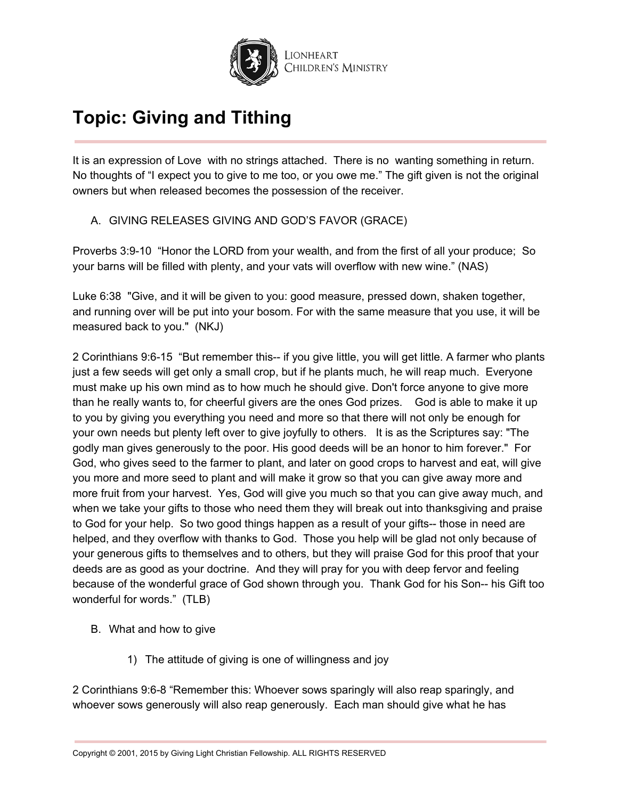

It is an expression of Love with no strings attached. There is no wanting something in return. No thoughts of "I expect you to give to me too, or you owe me." The gift given is not the original owners but when released becomes the possession of the receiver.

A. GIVING RELEASES GIVING AND GOD'S FAVOR (GRACE)

Proverbs 3:9-10 "Honor the LORD from your wealth, and from the first of all your produce; So your barns will be filled with plenty, and your vats will overflow with new wine." (NAS)

Luke 6:38 "Give, and it will be given to you: good measure, pressed down, shaken together, and running over will be put into your bosom. For with the same measure that you use, it will be measured back to you." (NKJ)

2 Corinthians 9:6-15 "But remember this-- if you give little, you will get little. A farmer who plants just a few seeds will get only a small crop, but if he plants much, he will reap much. Everyone must make up his own mind as to how much he should give. Don't force anyone to give more than he really wants to, for cheerful givers are the ones God prizes. God is able to make it up to you by giving you everything you need and more so that there will not only be enough for your own needs but plenty left over to give joyfully to others. It is as the Scriptures say: "The godly man gives generously to the poor. His good deeds will be an honor to him forever." For God, who gives seed to the farmer to plant, and later on good crops to harvest and eat, will give you more and more seed to plant and will make it grow so that you can give away more and more fruit from your harvest. Yes, God will give you much so that you can give away much, and when we take your gifts to those who need them they will break out into thanksgiving and praise to God for your help. So two good things happen as a result of your gifts-- those in need are helped, and they overflow with thanks to God. Those you help will be glad not only because of your generous gifts to themselves and to others, but they will praise God for this proof that your deeds are as good as your doctrine. And they will pray for you with deep fervor and feeling because of the wonderful grace of God shown through you. Thank God for his Son-- his Gift too wonderful for words." (TLB)

- B. What and how to give
	- 1) The attitude of giving is one of willingness and joy

2 Corinthians 9:6-8 "Remember this: Whoever sows sparingly will also reap sparingly, and whoever sows generously will also reap generously. Each man should give what he has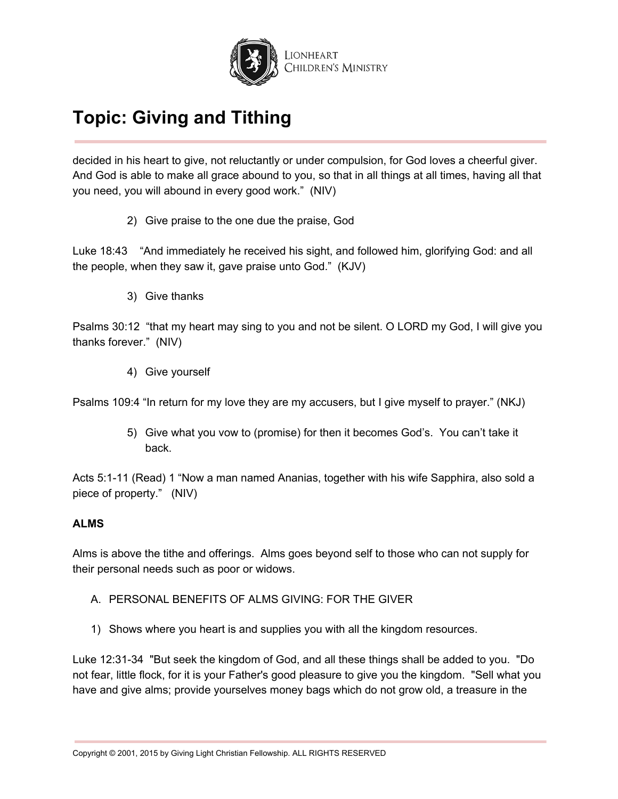

decided in his heart to give, not reluctantly or under compulsion, for God loves a cheerful giver. And God is able to make all grace abound to you, so that in all things at all times, having all that you need, you will abound in every good work." (NIV)

2) Give praise to the one due the praise, God

Luke 18:43 "And immediately he received his sight, and followed him, glorifying God: and all the people, when they saw it, gave praise unto God." (KJV)

3) Give thanks

Psalms 30:12 "that my heart may sing to you and not be silent. O LORD my God, I will give you thanks forever." (NIV)

4) Give yourself

Psalms 109:4 "In return for my love they are my accusers, but I give myself to prayer." (NKJ)

5) Give what you vow to (promise) for then it becomes God's. You can't take it back.

Acts 5:1-11 (Read) 1 "Now a man named Ananias, together with his wife Sapphira, also sold a piece of property." (NIV)

## **ALMS**

Alms is above the tithe and offerings. Alms goes beyond self to those who can not supply for their personal needs such as poor or widows.

- A. PERSONAL BENEFITS OF ALMS GIVING: FOR THE GIVER
- 1) Shows where you heart is and supplies you with all the kingdom resources.

Luke 12:31-34 "But seek the kingdom of God, and all these things shall be added to you. "Do not fear, little flock, for it is your Father's good pleasure to give you the kingdom. "Sell what you have and give alms; provide yourselves money bags which do not grow old, a treasure in the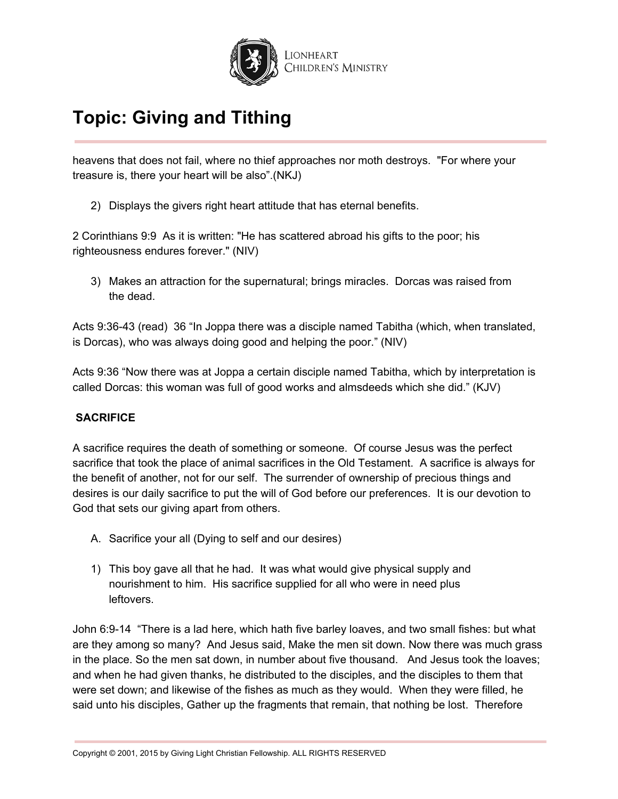

heavens that does not fail, where no thief approaches nor moth destroys. "For where your treasure is, there your heart will be also".(NKJ)

2) Displays the givers right heart attitude that has eternal benefits.

2 Corinthians 9:9 As it is written: "He has scattered abroad his gifts to the poor; his righteousness endures forever." (NIV)

3) Makes an attraction for the supernatural; brings miracles. Dorcas was raised from the dead.

Acts 9:36-43 (read) 36 "In Joppa there was a disciple named Tabitha (which, when translated, is Dorcas), who was always doing good and helping the poor." (NIV)

Acts 9:36 "Now there was at Joppa a certain disciple named Tabitha, which by interpretation is called Dorcas: this woman was full of good works and almsdeeds which she did." (KJV)

## **SACRIFICE**

A sacrifice requires the death of something or someone. Of course Jesus was the perfect sacrifice that took the place of animal sacrifices in the Old Testament. A sacrifice is always for the benefit of another, not for our self. The surrender of ownership of precious things and desires is our daily sacrifice to put the will of God before our preferences. It is our devotion to God that sets our giving apart from others.

- A. Sacrifice your all (Dying to self and our desires)
- 1) This boy gave all that he had. It was what would give physical supply and nourishment to him. His sacrifice supplied for all who were in need plus leftovers.

John 6:9-14 "There is a lad here, which hath five barley loaves, and two small fishes: but what are they among so many? And Jesus said, Make the men sit down. Now there was much grass in the place. So the men sat down, in number about five thousand. And Jesus took the loaves; and when he had given thanks, he distributed to the disciples, and the disciples to them that were set down; and likewise of the fishes as much as they would. When they were filled, he said unto his disciples, Gather up the fragments that remain, that nothing be lost. Therefore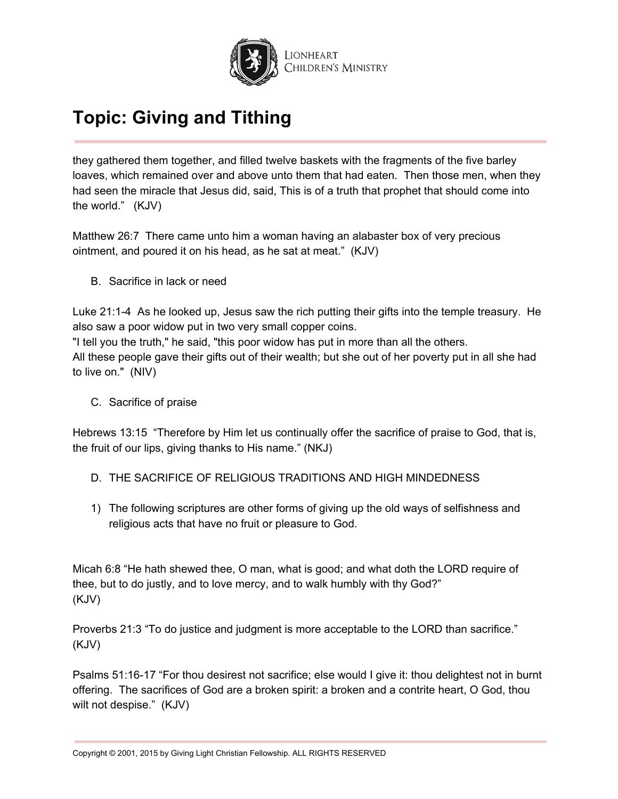

they gathered them together, and filled twelve baskets with the fragments of the five barley loaves, which remained over and above unto them that had eaten. Then those men, when they had seen the miracle that Jesus did, said, This is of a truth that prophet that should come into the world." (KJV)

Matthew 26:7 There came unto him a woman having an alabaster box of very precious ointment, and poured it on his head, as he sat at meat." (KJV)

B. Sacrifice in lack or need

Luke 21:1-4 As he looked up, Jesus saw the rich putting their gifts into the temple treasury. He also saw a poor widow put in two very small copper coins. "I tell you the truth," he said, "this poor widow has put in more than all the others. All these people gave their gifts out of their wealth; but she out of her poverty put in all she had to live on." (NIV)

C. Sacrifice of praise

Hebrews 13:15 "Therefore by Him let us continually offer the sacrifice of praise to God, that is, the fruit of our lips, giving thanks to His name." (NKJ)

- D. THE SACRIFICE OF RELIGIOUS TRADITIONS AND HIGH MINDEDNESS
- 1) The following scriptures are other forms of giving up the old ways of selfishness and religious acts that have no fruit or pleasure to God.

Micah 6:8 "He hath shewed thee, O man, what is good; and what doth the LORD require of thee, but to do justly, and to love mercy, and to walk humbly with thy God?" (KJV)

Proverbs 21:3 "To do justice and judgment is more acceptable to the LORD than sacrifice." (KJV)

Psalms 51:16-17 "For thou desirest not sacrifice; else would I give it: thou delightest not in burnt offering. The sacrifices of God are a broken spirit: a broken and a contrite heart, O God, thou wilt not despise." (KJV)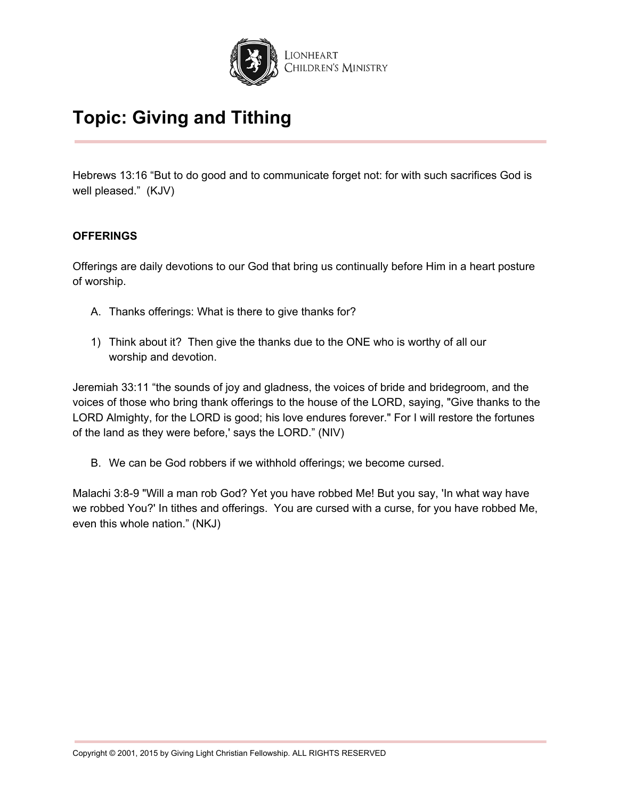

Hebrews 13:16 "But to do good and to communicate forget not: for with such sacrifices God is well pleased." (KJV)

### **OFFERINGS**

Offerings are daily devotions to our God that bring us continually before Him in a heart posture of worship.

- A. Thanks offerings: What is there to give thanks for?
- 1) Think about it? Then give the thanks due to the ONE who is worthy of all our worship and devotion.

Jeremiah 33:11 "the sounds of joy and gladness, the voices of bride and bridegroom, and the voices of those who bring thank offerings to the house of the LORD, saying, "Give thanks to the LORD Almighty, for the LORD is good; his love endures forever." For I will restore the fortunes of the land as they were before,' says the LORD." (NIV)

B. We can be God robbers if we withhold offerings; we become cursed.

Malachi 3:8-9 "Will a man rob God? Yet you have robbed Me! But you say, 'In what way have we robbed You?' In tithes and offerings. You are cursed with a curse, for you have robbed Me, even this whole nation." (NKJ)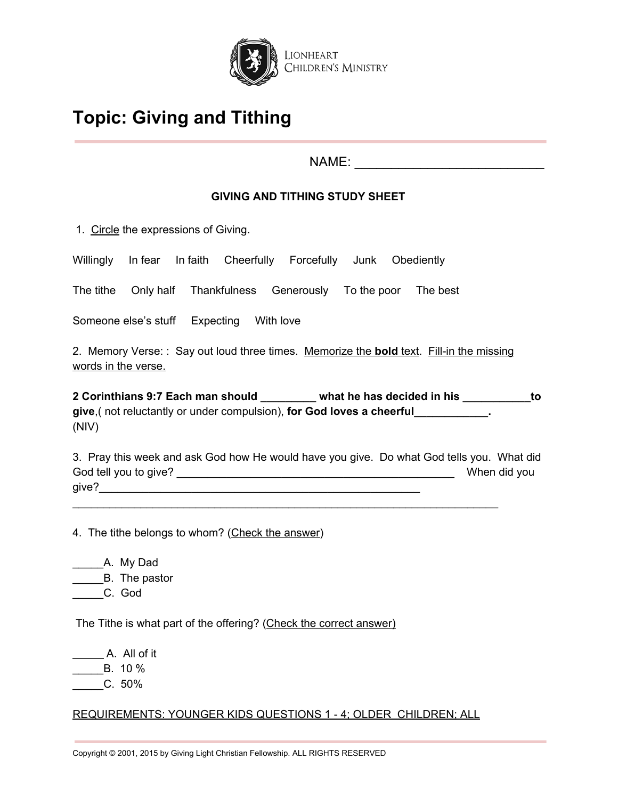

NAME: \_\_\_\_\_\_\_\_\_\_\_\_\_\_\_\_\_\_\_\_\_\_\_\_\_\_

## **GIVING AND TITHING STUDY SHEET**

1. Circle the expressions of Giving.

Willingly In fear In faith Cheerfully Forcefully Junk Obediently

The tithe Only half Thankfulness Generously To the poor The best

Someone else's stuff Expecting With love

2. Memory Verse: : Say out loud three times. Memorize the **bold** text. Fill-in the missing words in the verse.

**2 Corinthians 9:7 Each man should \_\_\_\_\_\_\_\_\_ what he has decided in his \_\_\_\_\_\_\_\_\_\_\_to give**,( not reluctantly or under compulsion), **for God loves a cheerful\_\_\_\_\_\_\_\_\_\_\_\_.** (NIV)

3. Pray this week and ask God how He would have you give. Do what God tells you. What did God tell you to give? **Example 20** Society 1 and 20 Society 1 and 20 Society 2 and 20 Society 2 and 20 Society 2 and 20 Society 2 and 20 Society 2 and 20 Society 2 and 20 Society 2 and 20 Society 2 and 20 Society 2 and 20 give?\_\_\_\_\_\_\_\_\_\_\_\_\_\_\_\_\_\_\_\_\_\_\_\_\_\_\_\_\_\_\_\_\_\_\_\_\_\_\_\_\_\_\_\_\_\_\_\_\_\_\_\_

\_\_\_\_\_\_\_\_\_\_\_\_\_\_\_\_\_\_\_\_\_\_\_\_\_\_\_\_\_\_\_\_\_\_\_\_\_\_\_\_\_\_\_\_\_\_\_\_\_\_\_\_\_\_\_\_\_\_\_\_\_\_\_\_\_\_\_\_\_

4. The tithe belongs to whom? (Check the answer)

\_\_\_\_\_A. My Dad \_\_\_\_\_B. The pastor \_\_\_\_\_C. God

The Tithe is what part of the offering? (Check the correct answer)

A. All of it  $\frac{1}{2}$  B. 10 %  $C. 50%$ 

## REQUIREMENTS: YOUNGER KIDS QUESTIONS 1 - 4; OLDER CHILDREN; ALL